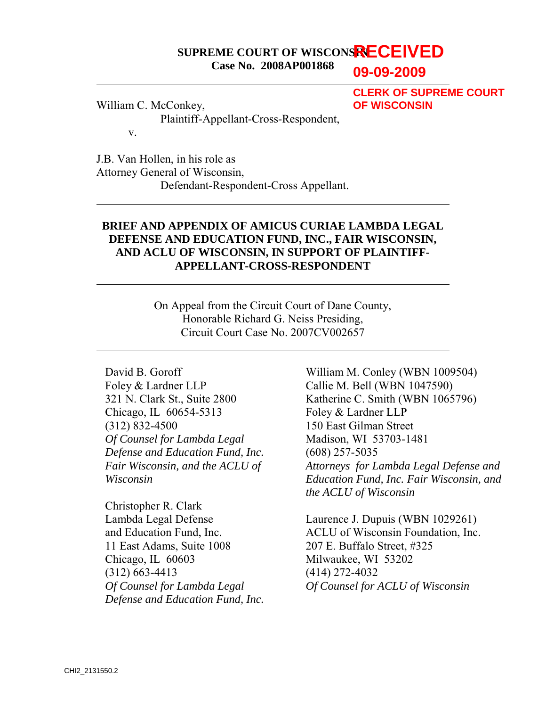#### **SUPREME COURT OF WISCONSIN RECEIVED Case No. 2008AP001868**

**09-09-2009**

William C. McConkey,

**CLERK OF SUPREME COURT OF WISCONSIN**

Plaintiff-Appellant-Cross-Respondent,

v.

 $\overline{\phantom{a}}$ 

 $\overline{a}$ 

 $\overline{a}$ 

 $\overline{a}$ 

J.B. Van Hollen, in his role as Attorney General of Wisconsin, Defendant-Respondent-Cross Appellant.

## **BRIEF AND APPENDIX OF AMICUS CURIAE LAMBDA LEGAL DEFENSE AND EDUCATION FUND, INC., FAIR WISCONSIN, AND ACLU OF WISCONSIN, IN SUPPORT OF PLAINTIFF-APPELLANT-CROSS-RESPONDENT**

On Appeal from the Circuit Court of Dane County, Honorable Richard G. Neiss Presiding, Circuit Court Case No. 2007CV002657

David B. Goroff Foley & Lardner LLP 321 N. Clark St., Suite 2800 Chicago, IL 60654-5313 (312) 832-4500 *Of Counsel for Lambda Legal Defense and Education Fund, Inc. Fair Wisconsin, and the ACLU of Wisconsin* 

Christopher R. Clark Lambda Legal Defense and Education Fund, Inc. 11 East Adams, Suite 1008 Chicago, IL 60603 (312) 663-4413 *Of Counsel for Lambda Legal Defense and Education Fund, Inc.* 

William M. Conley (WBN 1009504) Callie M. Bell (WBN 1047590) Katherine C. Smith (WBN 1065796) Foley & Lardner LLP 150 East Gilman Street Madison, WI 53703-1481 (608) 257-5035 *Attorneys for Lambda Legal Defense and Education Fund, Inc. Fair Wisconsin, and the ACLU of Wisconsin* 

Laurence J. Dupuis (WBN 1029261) ACLU of Wisconsin Foundation, Inc. 207 E. Buffalo Street, #325 Milwaukee, WI 53202 (414) 272-4032 *Of Counsel for ACLU of Wisconsin*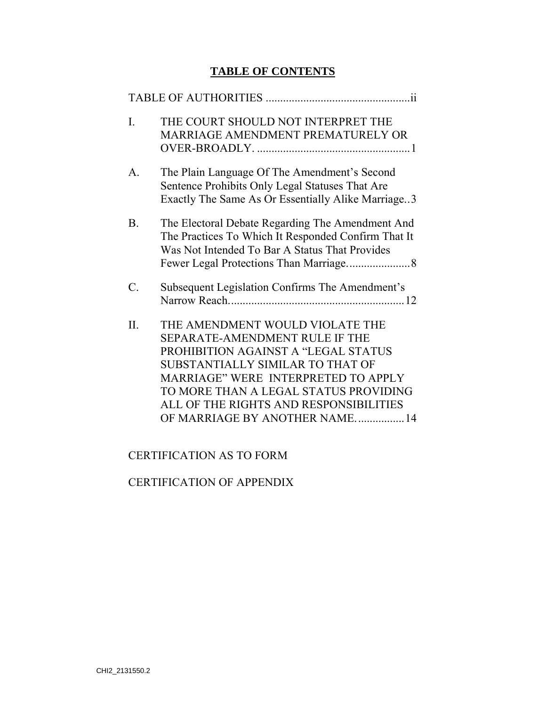# **TABLE OF CONTENTS**

| $\mathbf{I}$ .  | THE COURT SHOULD NOT INTERPRET THE<br>MARRIAGE AMENDMENT PREMATURELY OR                                                                                                                                                                                                                                 |
|-----------------|---------------------------------------------------------------------------------------------------------------------------------------------------------------------------------------------------------------------------------------------------------------------------------------------------------|
| $\mathsf{A}$    | The Plain Language Of The Amendment's Second<br>Sentence Prohibits Only Legal Statuses That Are<br>Exactly The Same As Or Essentially Alike Marriage3                                                                                                                                                   |
| B <sub>1</sub>  | The Electoral Debate Regarding The Amendment And<br>The Practices To Which It Responded Confirm That It<br>Was Not Intended To Bar A Status That Provides                                                                                                                                               |
| $\mathcal{C}$ . | Subsequent Legislation Confirms The Amendment's                                                                                                                                                                                                                                                         |
| $\Pi$ .         | THE AMENDMENT WOULD VIOLATE THE<br>SEPARATE-AMENDMENT RULE IF THE<br>PROHIBITION AGAINST A "LEGAL STATUS<br>SUBSTANTIALLY SIMILAR TO THAT OF<br>MARRIAGE" WERE INTERPRETED TO APPLY<br>TO MORE THAN A LEGAL STATUS PROVIDING<br>ALL OF THE RIGHTS AND RESPONSIBILITIES<br>OF MARRIAGE BY ANOTHER NAME14 |

# CERTIFICATION AS TO FORM

## CERTIFICATION OF APPENDIX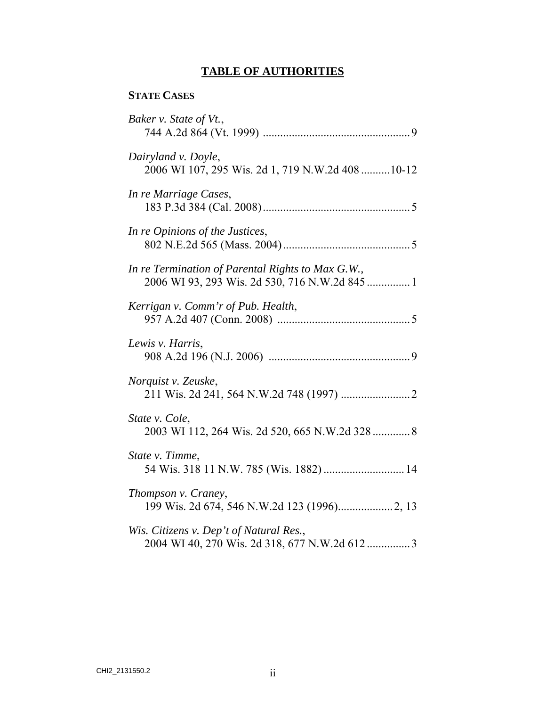# **TABLE OF AUTHORITIES**

## **STATE CASES**

| Baker v. State of Vt.,                                                                    |
|-------------------------------------------------------------------------------------------|
| Dairyland v. Doyle,<br>2006 WI 107, 295 Wis. 2d 1, 719 N.W.2d 408  10-12                  |
| In re Marriage Cases,                                                                     |
| In re Opinions of the Justices,                                                           |
| In re Termination of Parental Rights to Max G.W.,                                         |
| Kerrigan v. Comm'r of Pub. Health,                                                        |
| Lewis v. Harris,                                                                          |
| Norquist v. Zeuske,                                                                       |
| State v. Cole,<br>2003 WI 112, 264 Wis. 2d 520, 665 N.W.2d 328  8                         |
| State v. Timme,<br>54 Wis. 318 11 N.W. 785 (Wis. 1882)  14                                |
| Thompson v. Craney,                                                                       |
| Wis. Citizens v. Dep't of Natural Res.,<br>2004 WI 40, 270 Wis. 2d 318, 677 N.W.2d 612  3 |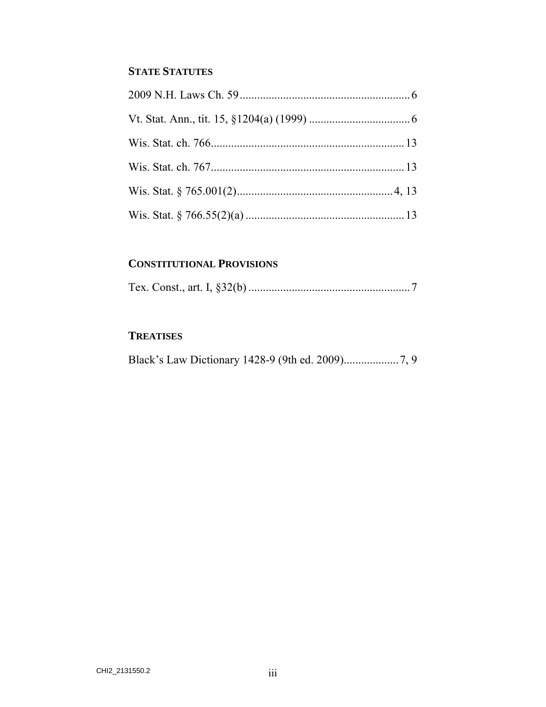# **STATE STATUTES**

## **CONSTITUTIONAL PROVISIONS**

|--|--|--|--|--|--|

# **TREATISES**

|--|--|--|--|--|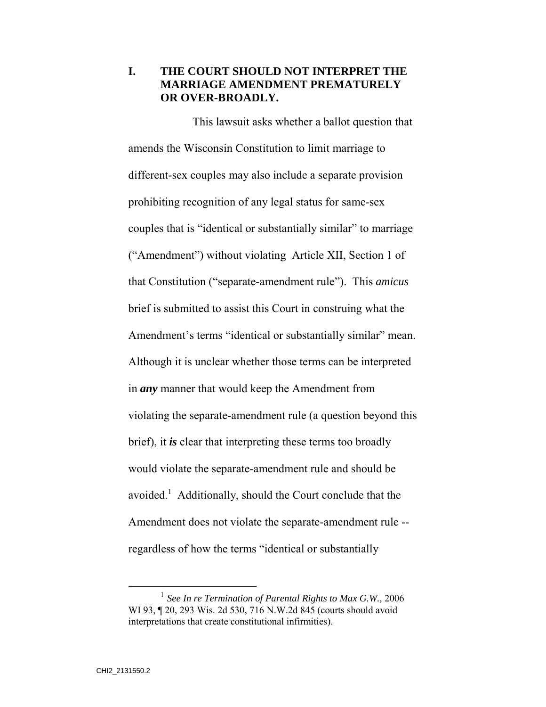### **I. THE COURT SHOULD NOT INTERPRET THE MARRIAGE AMENDMENT PREMATURELY OR OVER-BROADLY.**

This lawsuit asks whether a ballot question that amends the Wisconsin Constitution to limit marriage to different-sex couples may also include a separate provision prohibiting recognition of any legal status for same-sex couples that is "identical or substantially similar" to marriage ("Amendment") without violating Article XII, Section 1 of that Constitution ("separate-amendment rule"). This *amicus* brief is submitted to assist this Court in construing what the Amendment's terms "identical or substantially similar" mean. Although it is unclear whether those terms can be interpreted in *any* manner that would keep the Amendment from violating the separate-amendment rule (a question beyond this brief), it *is* clear that interpreting these terms too broadly would violate the separate-amendment rule and should be avoided.<sup>1</sup> Additionally, should the Court conclude that the Amendment does not violate the separate-amendment rule - regardless of how the terms "identical or substantially

<sup>&</sup>lt;sup>1</sup> See In re Termination of Parental Rights to Max G.W., 2006 WI 93, ¶ 20, 293 Wis. 2d 530, 716 N.W.2d 845 (courts should avoid interpretations that create constitutional infirmities).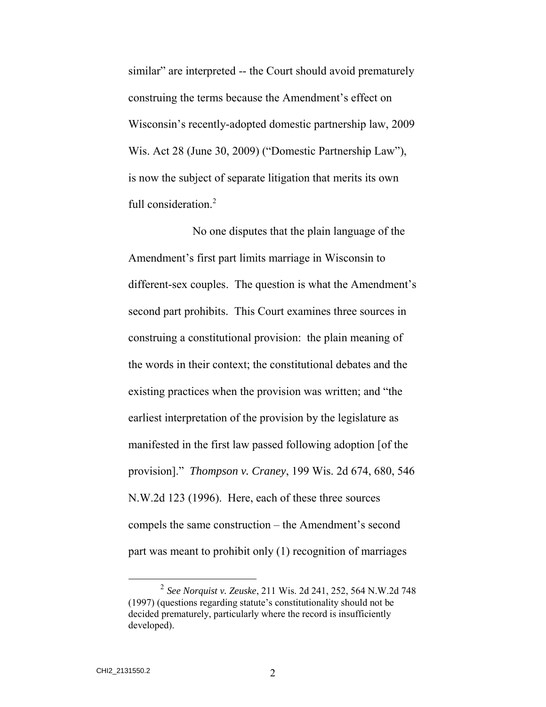similar" are interpreted -- the Court should avoid prematurely construing the terms because the Amendment's effect on Wisconsin's recently-adopted domestic partnership law, 2009 Wis. Act 28 (June 30, 2009) ("Domestic Partnership Law"), is now the subject of separate litigation that merits its own full consideration.<sup>2</sup>

No one disputes that the plain language of the Amendment's first part limits marriage in Wisconsin to different-sex couples. The question is what the Amendment's second part prohibits. This Court examines three sources in construing a constitutional provision: the plain meaning of the words in their context; the constitutional debates and the existing practices when the provision was written; and "the earliest interpretation of the provision by the legislature as manifested in the first law passed following adoption [of the provision]." *Thompson v. Craney*, 199 Wis. 2d 674, 680, 546 N.W.2d 123 (1996). Here, each of these three sources compels the same construction – the Amendment's second part was meant to prohibit only (1) recognition of marriages

 <sup>2</sup> *See Norquist v. Zeuske*, 211 Wis. 2d 241, 252, 564 N.W.2d 748 (1997) (questions regarding statute's constitutionality should not be decided prematurely, particularly where the record is insufficiently developed).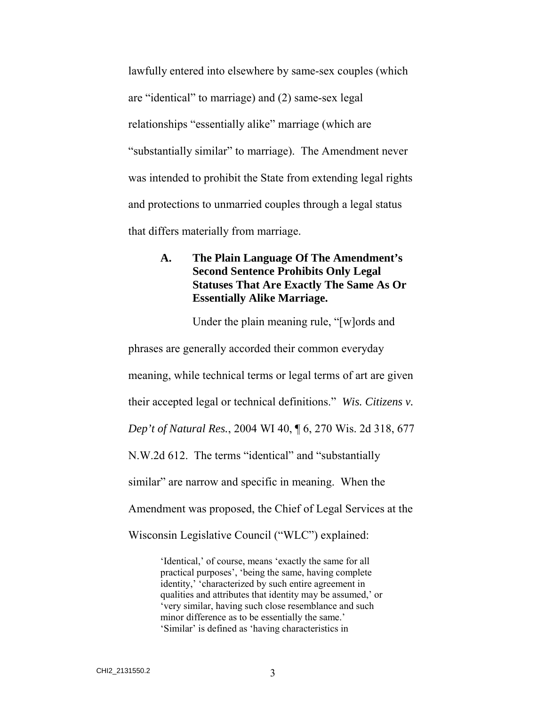lawfully entered into elsewhere by same-sex couples (which are "identical" to marriage) and (2) same-sex legal relationships "essentially alike" marriage (which are "substantially similar" to marriage). The Amendment never was intended to prohibit the State from extending legal rights and protections to unmarried couples through a legal status that differs materially from marriage.

### **A. The Plain Language Of The Amendment's Second Sentence Prohibits Only Legal Statuses That Are Exactly The Same As Or Essentially Alike Marriage.**

Under the plain meaning rule, "[w]ords and phrases are generally accorded their common everyday meaning, while technical terms or legal terms of art are given their accepted legal or technical definitions." *Wis. Citizens v. Dep't of Natural Res.*, 2004 WI 40, ¶ 6, 270 Wis. 2d 318, 677 N.W.2d 612. The terms "identical" and "substantially similar" are narrow and specific in meaning. When the Amendment was proposed, the Chief of Legal Services at the Wisconsin Legislative Council ("WLC") explained:

> 'Identical,' of course, means 'exactly the same for all practical purposes', 'being the same, having complete identity,' 'characterized by such entire agreement in qualities and attributes that identity may be assumed,' or 'very similar, having such close resemblance and such minor difference as to be essentially the same.' 'Similar' is defined as 'having characteristics in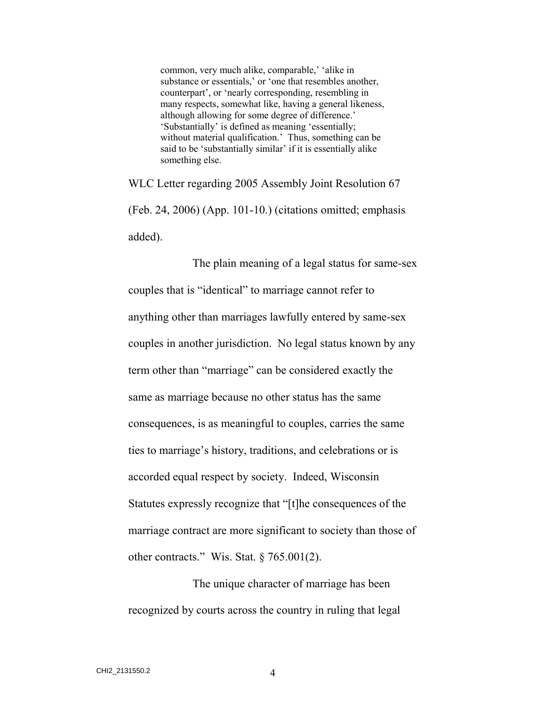common, very much alike, comparable,' 'alike in substance or essentials,' or 'one that resembles another, counterpart', or 'nearly corresponding, resembling in many respects, somewhat like, having a general likeness, although allowing for some degree of difference.' 'Substantially' is defined as meaning 'essentially; without material qualification.' Thus, something can be said to be 'substantially similar' if it is essentially alike something else.

WLC Letter regarding 2005 Assembly Joint Resolution 67 (Feb. 24, 2006) (App. 101-10.) (citations omitted; emphasis added).

The plain meaning of a legal status for same-sex couples that is "identical" to marriage cannot refer to anything other than marriages lawfully entered by same-sex couples in another jurisdiction. No legal status known by any term other than "marriage" can be considered exactly the same as marriage because no other status has the same consequences, is as meaningful to couples, carries the same ties to marriage's history, traditions, and celebrations or is accorded equal respect by society. Indeed, Wisconsin Statutes expressly recognize that "[t]he consequences of the marriage contract are more significant to society than those of other contracts." Wis. Stat.  $\S 765.001(2)$ .

The unique character of marriage has been recognized by courts across the country in ruling that legal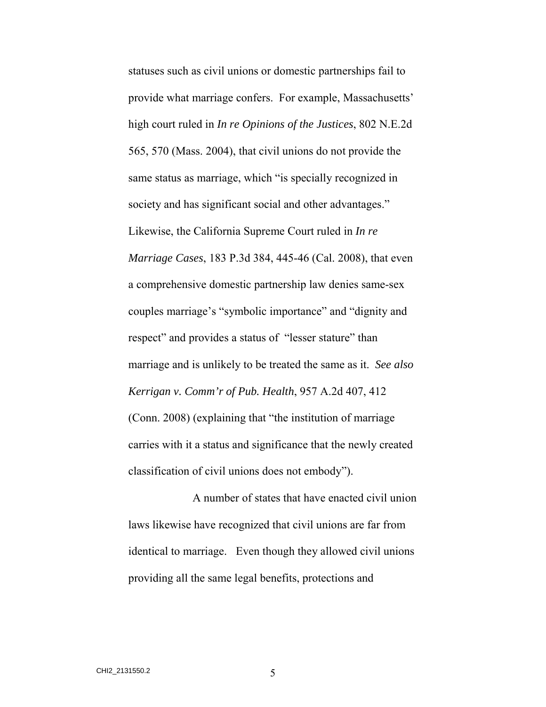statuses such as civil unions or domestic partnerships fail to provide what marriage confers. For example, Massachusetts' high court ruled in *In re Opinions of the Justices*, 802 N.E.2d 565, 570 (Mass. 2004), that civil unions do not provide the same status as marriage, which "is specially recognized in society and has significant social and other advantages." Likewise, the California Supreme Court ruled in *In re Marriage Cases*, 183 P.3d 384, 445-46 (Cal. 2008), that even a comprehensive domestic partnership law denies same-sex couples marriage's "symbolic importance" and "dignity and respect" and provides a status of "lesser stature" than marriage and is unlikely to be treated the same as it. *See also Kerrigan v. Comm'r of Pub. Health*, 957 A.2d 407, 412 (Conn. 2008) (explaining that "the institution of marriage carries with it a status and significance that the newly created classification of civil unions does not embody").

A number of states that have enacted civil union laws likewise have recognized that civil unions are far from identical to marriage. Even though they allowed civil unions providing all the same legal benefits, protections and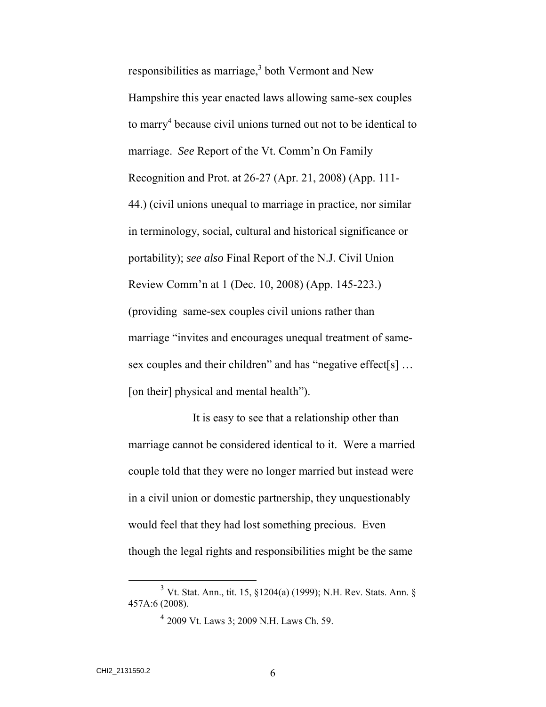responsibilities as marriage, $3$  both Vermont and New Hampshire this year enacted laws allowing same-sex couples to marry<sup>4</sup> because civil unions turned out not to be identical to marriage. *See* Report of the Vt. Comm'n On Family Recognition and Prot. at 26-27 (Apr. 21, 2008) (App. 111- 44.) (civil unions unequal to marriage in practice, nor similar in terminology, social, cultural and historical significance or portability); *see also* Final Report of the N.J. Civil Union Review Comm'n at 1 (Dec. 10, 2008) (App. 145-223.) (providing same-sex couples civil unions rather than marriage "invites and encourages unequal treatment of samesex couples and their children" and has "negative effect[s] ... [on their] physical and mental health").

It is easy to see that a relationship other than marriage cannot be considered identical to it. Were a married couple told that they were no longer married but instead were in a civil union or domestic partnership, they unquestionably would feel that they had lost something precious. Even though the legal rights and responsibilities might be the same

 <sup>3</sup> Vt. Stat. Ann., tit. 15, §1204(a) (1999); N.H. Rev. Stats. Ann. § 457A:6 (2008).

<sup>4</sup> 2009 Vt. Laws 3; 2009 N.H. Laws Ch. 59.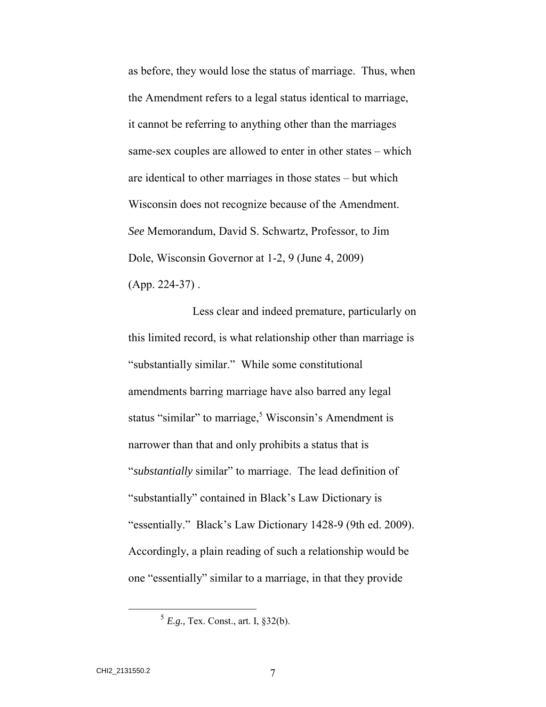as before, they would lose the status of marriage. Thus, when the Amendment refers to a legal status identical to marriage, it cannot be referring to anything other than the marriages same-sex couples are allowed to enter in other states – which are identical to other marriages in those states – but which Wisconsin does not recognize because of the Amendment. *See* Memorandum, David S. Schwartz, Professor, to Jim Dole, Wisconsin Governor at 1-2, 9 (June 4, 2009)  $(App. 224-37)$ .

Less clear and indeed premature, particularly on this limited record, is what relationship other than marriage is "substantially similar." While some constitutional amendments barring marriage have also barred any legal status "similar" to marriage,<sup>5</sup> Wisconsin's Amendment is narrower than that and only prohibits a status that is "*substantially* similar" to marriage. The lead definition of "substantially" contained in Black's Law Dictionary is "essentially." Black's Law Dictionary 1428-9 (9th ed. 2009). Accordingly, a plain reading of such a relationship would be one "essentially" similar to a marriage, in that they provide

 <sup>5</sup> *E.g.,* Tex. Const., art. I, §32(b).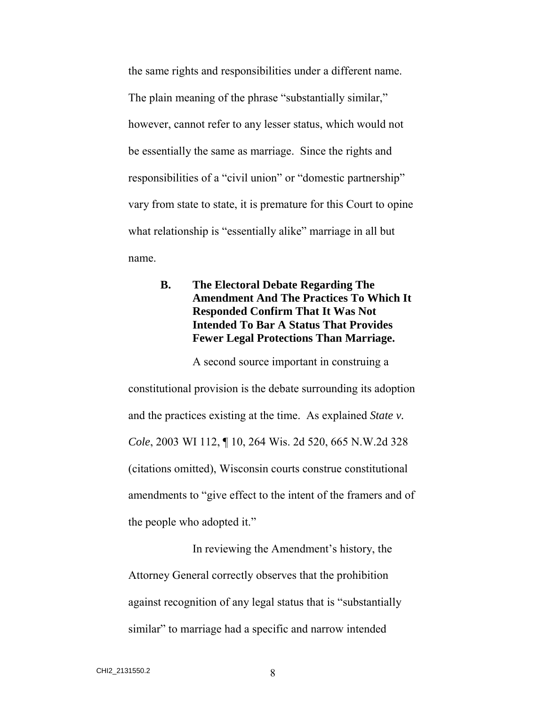the same rights and responsibilities under a different name. The plain meaning of the phrase "substantially similar," however, cannot refer to any lesser status, which would not be essentially the same as marriage. Since the rights and responsibilities of a "civil union" or "domestic partnership" vary from state to state, it is premature for this Court to opine what relationship is "essentially alike" marriage in all but name.

## **B. The Electoral Debate Regarding The Amendment And The Practices To Which It Responded Confirm That It Was Not Intended To Bar A Status That Provides Fewer Legal Protections Than Marriage.**

A second source important in construing a constitutional provision is the debate surrounding its adoption and the practices existing at the time. As explained *State v. Cole*, 2003 WI 112, ¶ 10, 264 Wis. 2d 520, 665 N.W.2d 328 (citations omitted), Wisconsin courts construe constitutional amendments to "give effect to the intent of the framers and of the people who adopted it."

In reviewing the Amendment's history, the Attorney General correctly observes that the prohibition against recognition of any legal status that is "substantially similar" to marriage had a specific and narrow intended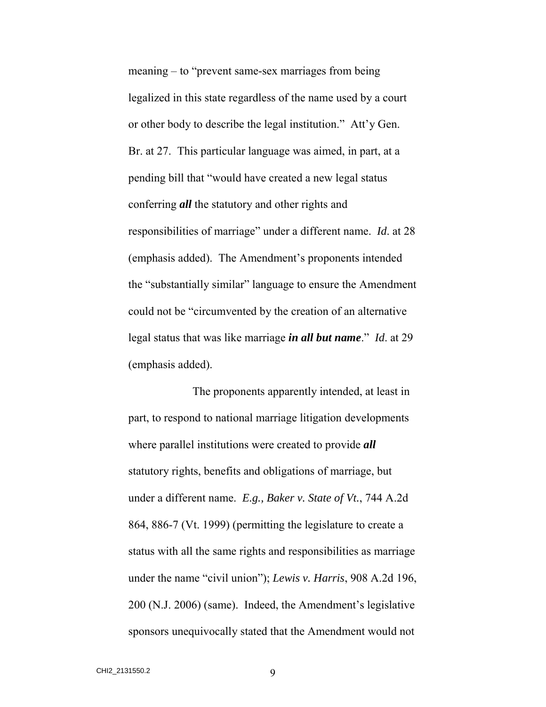meaning – to "prevent same-sex marriages from being legalized in this state regardless of the name used by a court or other body to describe the legal institution." Att'y Gen. Br. at 27. This particular language was aimed, in part, at a pending bill that "would have created a new legal status conferring *all* the statutory and other rights and responsibilities of marriage" under a different name. *Id*. at 28 (emphasis added). The Amendment's proponents intended the "substantially similar" language to ensure the Amendment could not be "circumvented by the creation of an alternative legal status that was like marriage *in all but name*." *Id*. at 29 (emphasis added).

The proponents apparently intended, at least in part, to respond to national marriage litigation developments where parallel institutions were created to provide *all* statutory rights, benefits and obligations of marriage, but under a different name. *E.g., Baker v. State of Vt.*, 744 A.2d 864, 886-7 (Vt. 1999) (permitting the legislature to create a status with all the same rights and responsibilities as marriage under the name "civil union"); *Lewis v. Harris*, 908 A.2d 196, 200 (N.J. 2006) (same). Indeed, the Amendment's legislative sponsors unequivocally stated that the Amendment would not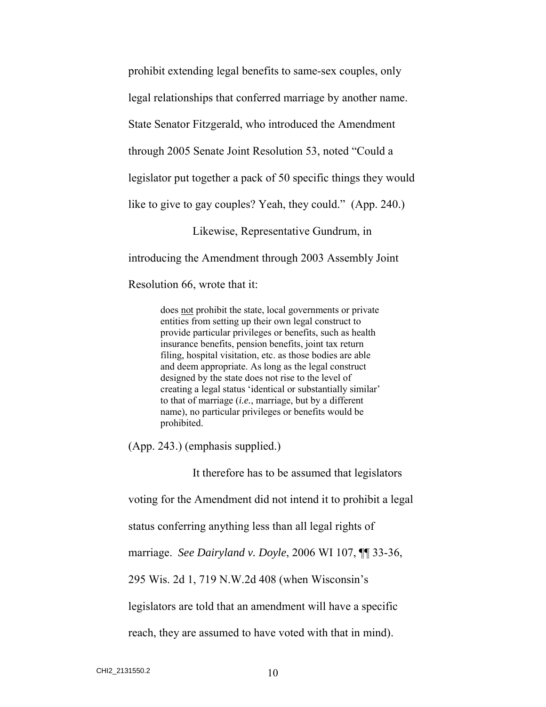prohibit extending legal benefits to same-sex couples, only

legal relationships that conferred marriage by another name.

State Senator Fitzgerald, who introduced the Amendment

through 2005 Senate Joint Resolution 53, noted "Could a

legislator put together a pack of 50 specific things they would

like to give to gay couples? Yeah, they could." (App. 240.)

Likewise, Representative Gundrum, in

introducing the Amendment through 2003 Assembly Joint

Resolution 66, wrote that it:

does not prohibit the state, local governments or private entities from setting up their own legal construct to provide particular privileges or benefits, such as health insurance benefits, pension benefits, joint tax return filing, hospital visitation, etc. as those bodies are able and deem appropriate. As long as the legal construct designed by the state does not rise to the level of creating a legal status 'identical or substantially similar' to that of marriage (*i.e.*, marriage, but by a different name), no particular privileges or benefits would be prohibited.

(App. 243.) (emphasis supplied.)

It therefore has to be assumed that legislators

voting for the Amendment did not intend it to prohibit a legal

status conferring anything less than all legal rights of

marriage. *See Dairyland v. Doyle*, 2006 WI 107, ¶¶ 33-36,

295 Wis. 2d 1, 719 N.W.2d 408 (when Wisconsin's

legislators are told that an amendment will have a specific

reach, they are assumed to have voted with that in mind).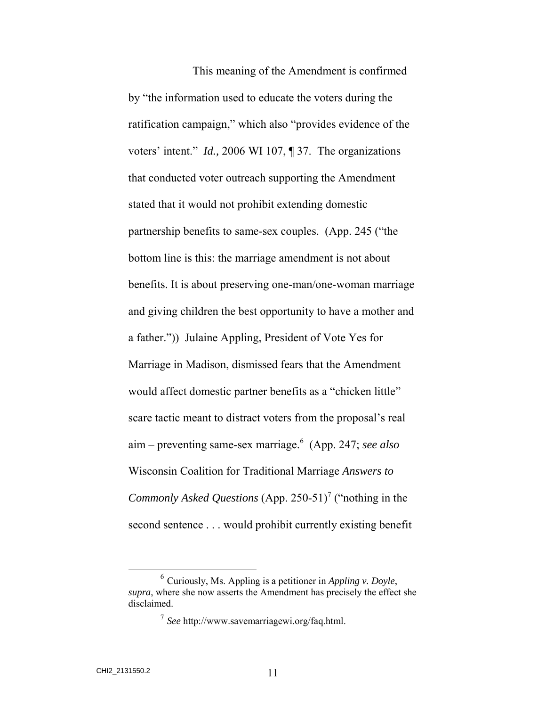This meaning of the Amendment is confirmed by "the information used to educate the voters during the ratification campaign," which also "provides evidence of the voters' intent." *Id.,* 2006 WI 107, ¶ 37. The organizations that conducted voter outreach supporting the Amendment stated that it would not prohibit extending domestic partnership benefits to same-sex couples. (App. 245 ("the bottom line is this: the marriage amendment is not about benefits. It is about preserving one-man/one-woman marriage and giving children the best opportunity to have a mother and a father.")) Julaine Appling, President of Vote Yes for Marriage in Madison, dismissed fears that the Amendment would affect domestic partner benefits as a "chicken little" scare tactic meant to distract voters from the proposal's real aim – preventing same-sex marriage.<sup>6</sup> (App. 247; *see also* Wisconsin Coalition for Traditional Marriage *Answers to Commonly Asked Questions* (App. 250-51)<sup>7</sup> ("nothing in the second sentence . . . would prohibit currently existing benefit

 <sup>6</sup> Curiously, Ms. Appling is a petitioner in *Appling v. Doyle*, *supra*, where she now asserts the Amendment has precisely the effect she disclaimed.

<sup>7</sup> *See* http://www.savemarriagewi.org/faq.html.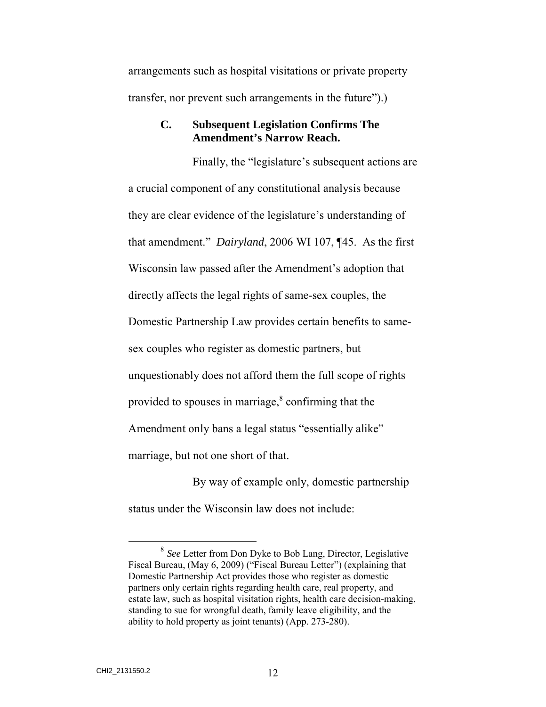arrangements such as hospital visitations or private property transfer, nor prevent such arrangements in the future").)

#### **C. Subsequent Legislation Confirms The Amendment's Narrow Reach.**

Finally, the "legislature's subsequent actions are a crucial component of any constitutional analysis because they are clear evidence of the legislature's understanding of that amendment." *Dairyland*, 2006 WI 107, ¶45. As the first Wisconsin law passed after the Amendment's adoption that directly affects the legal rights of same-sex couples, the Domestic Partnership Law provides certain benefits to samesex couples who register as domestic partners, but unquestionably does not afford them the full scope of rights provided to spouses in marriage, $\textdegree$  confirming that the Amendment only bans a legal status "essentially alike" marriage, but not one short of that.

By way of example only, domestic partnership status under the Wisconsin law does not include:

 <sup>8</sup> *See* Letter from Don Dyke to Bob Lang, Director, Legislative Fiscal Bureau, (May 6, 2009) ("Fiscal Bureau Letter") (explaining that Domestic Partnership Act provides those who register as domestic partners only certain rights regarding health care, real property, and estate law, such as hospital visitation rights, health care decision-making, standing to sue for wrongful death, family leave eligibility, and the ability to hold property as joint tenants) (App. 273-280).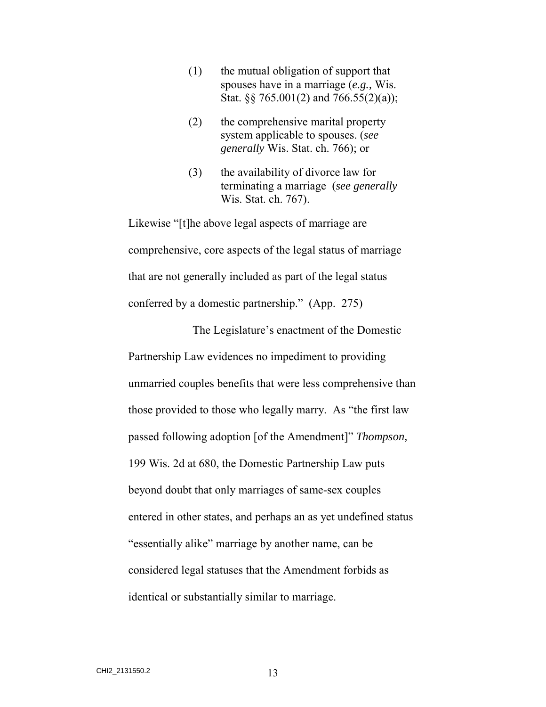- (1) the mutual obligation of support that spouses have in a marriage (*e.g.,* Wis. Stat. §§ 765.001(2) and 766.55(2)(a));
- (2) the comprehensive marital property system applicable to spouses. (*see generally* Wis. Stat. ch. 766); or
- (3) the availability of divorce law for terminating a marriage (*see generally* Wis. Stat. ch. 767).

Likewise "[t]he above legal aspects of marriage are comprehensive, core aspects of the legal status of marriage that are not generally included as part of the legal status conferred by a domestic partnership." (App. 275)

The Legislature's enactment of the Domestic Partnership Law evidences no impediment to providing unmarried couples benefits that were less comprehensive than those provided to those who legally marry. As "the first law passed following adoption [of the Amendment]" *Thompson,*  199 Wis. 2d at 680, the Domestic Partnership Law puts beyond doubt that only marriages of same-sex couples entered in other states, and perhaps an as yet undefined status "essentially alike" marriage by another name, can be considered legal statuses that the Amendment forbids as identical or substantially similar to marriage.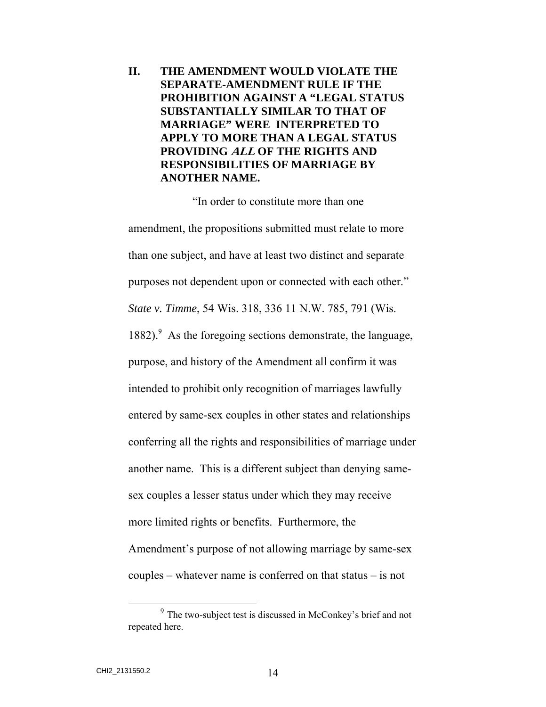## **II. THE AMENDMENT WOULD VIOLATE THE SEPARATE-AMENDMENT RULE IF THE PROHIBITION AGAINST A "LEGAL STATUS SUBSTANTIALLY SIMILAR TO THAT OF MARRIAGE" WERE INTERPRETED TO APPLY TO MORE THAN A LEGAL STATUS PROVIDING ALL OF THE RIGHTS AND RESPONSIBILITIES OF MARRIAGE BY ANOTHER NAME.**

"In order to constitute more than one amendment, the propositions submitted must relate to more than one subject, and have at least two distinct and separate purposes not dependent upon or connected with each other." *State v. Timme*, 54 Wis. 318, 336 11 N.W. 785, 791 (Wis. 1882).<sup>9</sup> As the foregoing sections demonstrate, the language, purpose, and history of the Amendment all confirm it was intended to prohibit only recognition of marriages lawfully entered by same-sex couples in other states and relationships conferring all the rights and responsibilities of marriage under another name. This is a different subject than denying samesex couples a lesser status under which they may receive more limited rights or benefits. Furthermore, the Amendment's purpose of not allowing marriage by same-sex couples – whatever name is conferred on that status – is not

 <sup>9</sup> The two-subject test is discussed in McConkey's brief and not repeated here.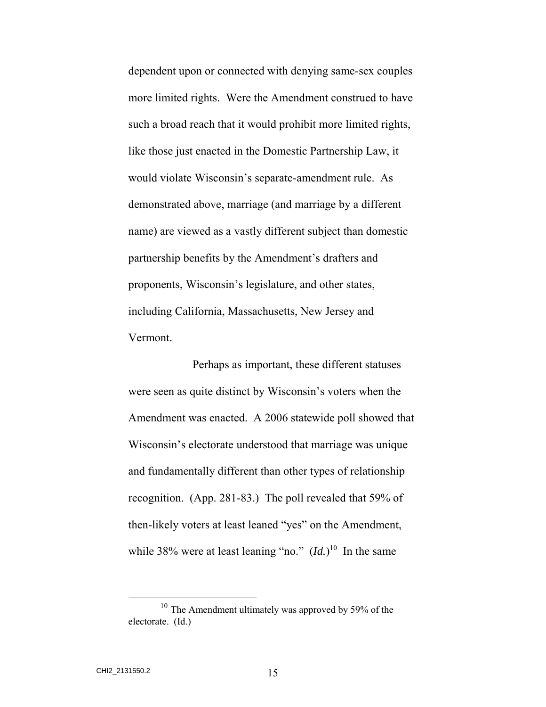dependent upon or connected with denying same-sex couples more limited rights. Were the Amendment construed to have such a broad reach that it would prohibit more limited rights, like those just enacted in the Domestic Partnership Law, it would violate Wisconsin's separate-amendment rule. As demonstrated above, marriage (and marriage by a different name) are viewed as a vastly different subject than domestic partnership benefits by the Amendment's drafters and proponents, Wisconsin's legislature, and other states, including California, Massachusetts, New Jersey and Vermont.

Perhaps as important, these different statuses were seen as quite distinct by Wisconsin's voters when the Amendment was enacted. A 2006 statewide poll showed that Wisconsin's electorate understood that marriage was unique and fundamentally different than other types of relationship recognition. (App. 281-83.) The poll revealed that 59% of then-likely voters at least leaned "yes" on the Amendment, while 38% were at least leaning "no."  $(Id.)^{10}$  In the same

<sup>&</sup>lt;sup>10</sup> The Amendment ultimately was approved by 59% of the electorate. (Id.)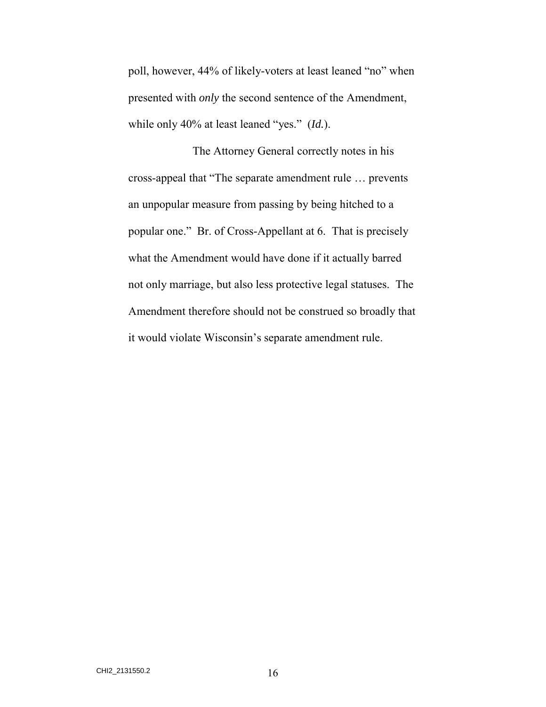poll, however, 44% of likely-voters at least leaned "no" when presented with *only* the second sentence of the Amendment, while only 40% at least leaned "yes." (*Id.*).

The Attorney General correctly notes in his cross-appeal that "The separate amendment rule … prevents an unpopular measure from passing by being hitched to a popular one." Br. of Cross-Appellant at 6. That is precisely what the Amendment would have done if it actually barred not only marriage, but also less protective legal statuses. The Amendment therefore should not be construed so broadly that it would violate Wisconsin's separate amendment rule.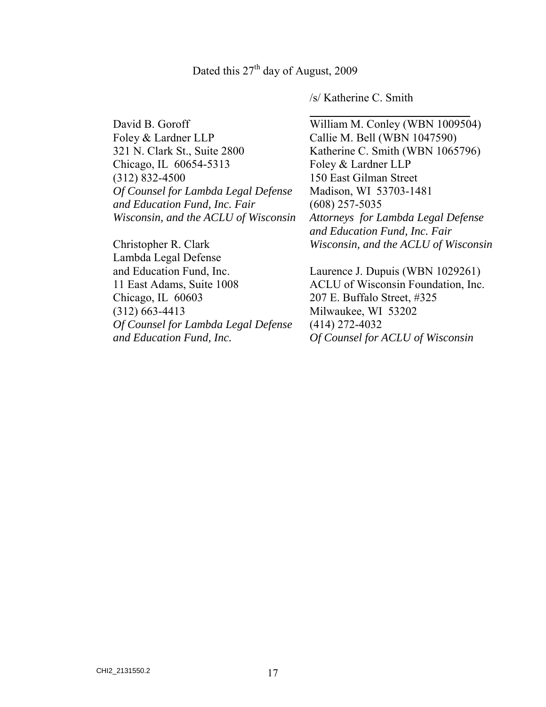l

David B. Goroff Foley & Lardner LLP 321 N. Clark St., Suite 2800 Chicago, IL 60654-5313 (312) 832-4500 *Of Counsel for Lambda Legal Defense and Education Fund, Inc. Fair Wisconsin, and the ACLU of Wisconsin* 

Christopher R. Clark Lambda Legal Defense and Education Fund, Inc. 11 East Adams, Suite 1008 Chicago, IL 60603 (312) 663-4413 *Of Counsel for Lambda Legal Defense and Education Fund, Inc.* 

/s/ Katherine C. Smith

William M. Conley (WBN 1009504) Callie M. Bell (WBN 1047590) Katherine C. Smith (WBN 1065796) Foley & Lardner LLP 150 East Gilman Street Madison, WI 53703-1481 (608) 257-5035 *Attorneys for Lambda Legal Defense and Education Fund, Inc. Fair Wisconsin, and the ACLU of Wisconsin*

Laurence J. Dupuis (WBN 1029261) ACLU of Wisconsin Foundation, Inc. 207 E. Buffalo Street, #325 Milwaukee, WI 53202 (414) 272-4032 *Of Counsel for ACLU of Wisconsin*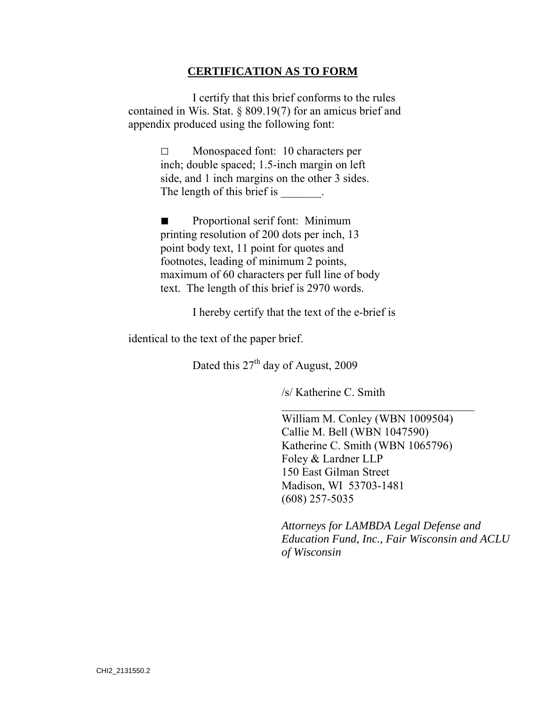#### **CERTIFICATION AS TO FORM**

I certify that this brief conforms to the rules contained in Wis. Stat. § 809.19(7) for an amicus brief and appendix produced using the following font:

> □ Monospaced font: 10 characters per inch; double spaced; 1.5-inch margin on left side, and 1 inch margins on the other 3 sides. The length of this brief is

Proportional serif font: Minimum printing resolution of 200 dots per inch, 13 point body text, 11 point for quotes and footnotes, leading of minimum 2 points, maximum of 60 characters per full line of body text. The length of this brief is 2970 words.

I hereby certify that the text of the e-brief is

identical to the text of the paper brief.

Dated this  $27<sup>th</sup>$  day of August, 2009

 $\overline{a}$ 

/s/ Katherine C. Smith

William M. Conley (WBN 1009504) Callie M. Bell (WBN 1047590) Katherine C. Smith (WBN 1065796) Foley & Lardner LLP 150 East Gilman Street Madison, WI 53703-1481 (608) 257-5035

*Attorneys for LAMBDA Legal Defense and Education Fund, Inc., Fair Wisconsin and ACLU of Wisconsin*